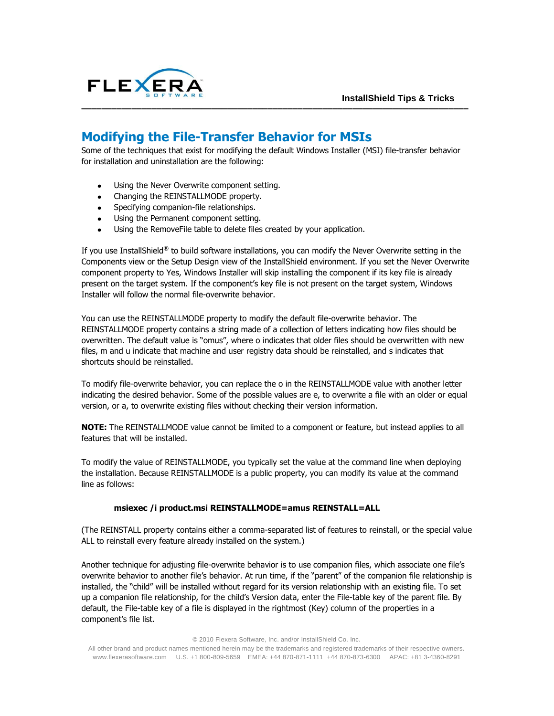

## **Modifying the File-Transfer Behavior for MSIs**

Some of the techniques that exist for modifying the default Windows Installer (MSI) file-transfer behavior for installation and uninstallation are the following:

**–––––––––––––––––––––––––––––––––––––––––––––––––––––––––––––––––––––––––––––**

- Using the Never Overwrite component setting.
- Changing the REINSTALLMODE property.
- Specifying companion-file relationships.
- Using the Permanent component setting.
- Using the RemoveFile table to delete files created by your application.

If you use InstallShield® to build software installations, you can modify the Never Overwrite setting in the Components view or the Setup Design view of the InstallShield environment. If you set the Never Overwrite component property to Yes, Windows Installer will skip installing the component if its key file is already present on the target system. If the component's key file is not present on the target system, Windows Installer will follow the normal file-overwrite behavior.

You can use the REINSTALLMODE property to modify the default file-overwrite behavior. The REINSTALLMODE property contains a string made of a collection of letters indicating how files should be overwritten. The default value is "omus", where o indicates that older files should be overwritten with new files, m and u indicate that machine and user registry data should be reinstalled, and s indicates that shortcuts should be reinstalled.

To modify file-overwrite behavior, you can replace the o in the REINSTALLMODE value with another letter indicating the desired behavior. Some of the possible values are e, to overwrite a file with an older or equal version, or a, to overwrite existing files without checking their version information.

**NOTE:** The REINSTALLMODE value cannot be limited to a component or feature, but instead applies to all features that will be installed.

To modify the value of REINSTALLMODE, you typically set the value at the command line when deploying the installation. Because REINSTALLMODE is a public property, you can modify its value at the command line as follows:

## **msiexec /i product.msi REINSTALLMODE=amus REINSTALL=ALL**

(The REINSTALL property contains either a comma-separated list of features to reinstall, or the special value ALL to reinstall every feature already installed on the system.)

Another technique for adjusting file-overwrite behavior is to use companion files, which associate one file's overwrite behavior to another file's behavior. At run time, if the "parent" of the companion file relationship is installed, the "child" will be installed without regard for its version relationship with an existing file. To set up a companion file relationship, for the child's Version data, enter the File-table key of the parent file. By default, the File-table key of a file is displayed in the rightmost (Key) column of the properties in a component's file list.

© 2010 Flexera Software, Inc. and/or InstallShield Co. Inc.